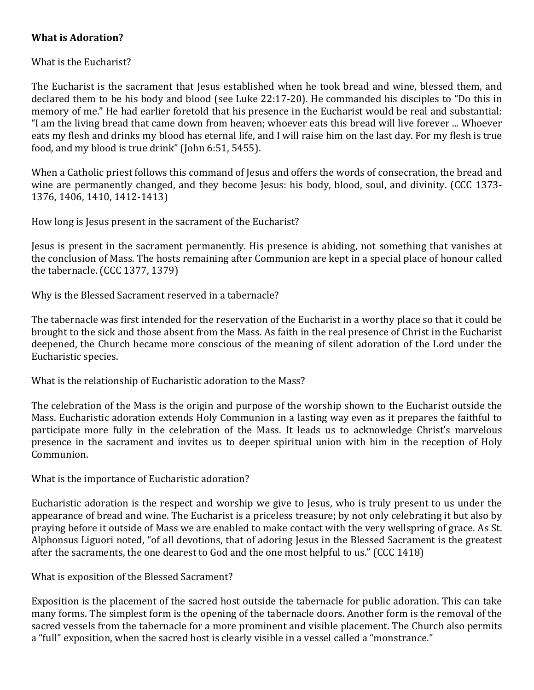## **What is Adoration?**

What is the Eucharist?

The Eucharist is the sacrament that Jesus established when he took bread and wine, blessed them, and declared them to be his body and blood (see Luke 22:17-20). He commanded his disciples to "Do this in memory of me." He had earlier foretold that his presence in the Eucharist would be real and substantial: "I am the living bread that came down from heaven; whoever eats this bread will live forever ... Whoever eats my flesh and drinks my blood has eternal life, and I will raise him on the last day. For my flesh is true food, and my blood is true drink" (John  $6:51$ ,  $5455$ ).

When a Catholic priest follows this command of Jesus and offers the words of consecration, the bread and wine are permanently changed, and they become Jesus: his body, blood, soul, and divinity. (CCC 1373-1376, 1406, 1410, 1412-1413) 

How long is Jesus present in the sacrament of the Eucharist?

Jesus is present in the sacrament permanently. His presence is abiding, not something that vanishes at the conclusion of Mass. The hosts remaining after Communion are kept in a special place of honour called the tabernacle.  $(CCC 1377, 1379)$ 

Why is the Blessed Sacrament reserved in a tabernacle?

The tabernacle was first intended for the reservation of the Eucharist in a worthy place so that it could be brought to the sick and those absent from the Mass. As faith in the real presence of Christ in the Eucharist deepened, the Church became more conscious of the meaning of silent adoration of the Lord under the Eucharistic species.

What is the relationship of Eucharistic adoration to the Mass?

The celebration of the Mass is the origin and purpose of the worship shown to the Eucharist outside the Mass. Eucharistic adoration extends Holy Communion in a lasting way even as it prepares the faithful to participate more fully in the celebration of the Mass. It leads us to acknowledge Christ's marvelous presence in the sacrament and invites us to deeper spiritual union with him in the reception of Holy Communion. 

What is the importance of Eucharistic adoration?

Eucharistic adoration is the respect and worship we give to Jesus, who is truly present to us under the appearance of bread and wine. The Eucharist is a priceless treasure; by not only celebrating it but also by praying before it outside of Mass we are enabled to make contact with the very wellspring of grace. As St. Alphonsus Liguori noted, "of all devotions, that of adoring Jesus in the Blessed Sacrament is the greatest after the sacraments, the one dearest to God and the one most helpful to us." (CCC 1418)

What is exposition of the Blessed Sacrament?

Exposition is the placement of the sacred host outside the tabernacle for public adoration. This can take many forms. The simplest form is the opening of the tabernacle doors. Another form is the removal of the sacred vessels from the tabernacle for a more prominent and visible placement. The Church also permits a "full" exposition, when the sacred host is clearly visible in a vessel called a "monstrance."